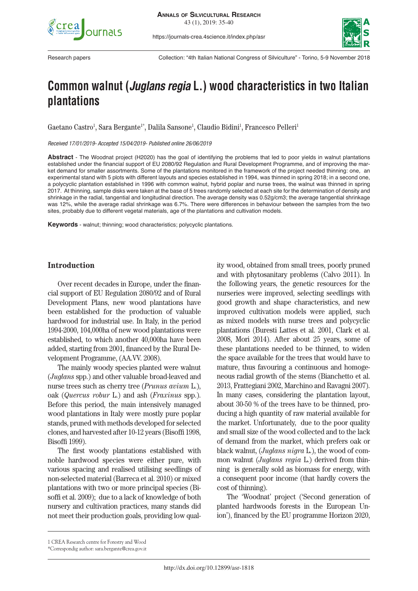

https://journals-crea.4science.it/index.php/asr



Research papers Collection: "4th Italian National Congress of Silviculture" - Torino, 5-9 November 2018

# **Common walnut (***Juglans regia* **L.) wood characteristics in two Italian plantations**

Gaetano Castro<sup>1</sup>, Sara Bergante<sup>1\*</sup>, Dalila Sansone<sup>1</sup>, Claudio Bidini<sup>1</sup>, Francesco Pelleri<sup>1</sup>

*Received 17/01/2019- Accepted 15/04/2019- Published online 26/06/2019*

**Abstract** - The Woodnat project (H2020) has the goal of identifying the problems that led to poor yields in walnut plantations established under the financial support of EU 2080/92 Regulation and Rural Development Programme, and of improving the market demand for smaller assortments. Some of the plantations monitored in the framework of the project needed thinning: one, an experimental stand with 5 plots with different layouts and species established in 1994, was thinned in spring 2018; in a second one, a polycyclic plantation established in 1996 with common walnut, hybrid poplar and nurse trees, the walnut was thinned in spring 2017. At thinning, sample disks were taken at the base of 5 trees randomly selected at each site for the determination of density and shrinkage in the radial, tangential and longitudinal direction. The average density was 0.52g/cm3; the average tangential shrinkage was 12%, while the average radial shrinkage was 6.7%. There were differences in behaviour between the samples from the two sites, probably due to different vegetal materials, age of the plantations and cultivation models.

**Keywords** - walnut; thinning; wood characteristics; polycyclic plantations.

## **Introduction**

Over recent decades in Europe, under the financial support of EU Regulation 2080/92 and of Rural Development Plans, new wood plantations have been established for the production of valuable hardwood for industrial use. In Italy, in the period 1994-2000, 104,000ha of new wood plantations were established, to which another 40,000ha have been added, starting from 2001, financed by the Rural Development Programme, (AA.VV. 2008).

The mainly woody species planted were walnut (*Juglans* spp.) and other valuable broad-leaved and nurse trees such as cherry tree (*Prunus avium* L.), oak (*Quercus robur* L.) and ash (*Fraxinus* spp.). Before this period, the main intensively managed wood plantations in Italy were mostly pure poplar stands, pruned with methods developed for selected clones, and harvested after 10-12 years (Bisoffi 1998, Bisoffi 1999).

The first woody plantations established with noble hardwood species were either pure, with various spacing and realised utilising seedlings of non-selected material (Barreca et al. 2010) or mixed plantations with two or more principal species (Bisoffi et al. 2009); due to a lack of knowledge of both nursery and cultivation practices, many stands did not meet their production goals, providing low quality wood, obtained from small trees, poorly pruned and with phytosanitary problems (Calvo 2011). In the following years, the genetic resources for the nurseries were improved, selecting seedlings with good growth and shape characteristics, and new improved cultivation models were applied, such as mixed models with nurse trees and polycyclic plantations (Buresti Lattes et al. 2001, Clark et al. 2008, Mori 2014). After about 25 years, some of these plantations needed to be thinned, to widen the space available for the trees that would have to mature, thus favouring a continuous and homogeneous radial growth of the stems (Bianchetto et al. 2013, Frattegiani 2002, Marchino and Ravagni 2007). In many cases, considering the plantation layout, about 30-50 % of the trees have to be thinned, producing a high quantity of raw material available for the market. Unfortunately, due to the poor quality and small size of the wood collected and to the lack of demand from the market, which prefers oak or black walnut, (*Juglans nigra* L.), the wood of common walnut (*Juglans regia* L.) derived from thinning is generally sold as biomass for energy, with a consequent poor income (that hardly covers the cost of thinning).

The 'Woodnat' project ('Second generation of planted hardwoods forests in the European Union'), financed by the EU programme Horizon 2020,

<sup>1</sup> CREA Research centre for Forestry and Wood

<sup>\*</sup>Correspondig author: sara.bergante@crea.gov.it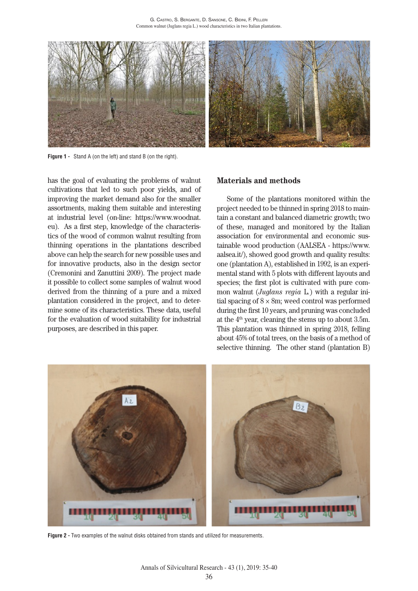

**Figure 1 -** Stand A (on the left) and stand B (on the right).

has the goal of evaluating the problems of walnut cultivations that led to such poor yields, and of improving the market demand also for the smaller assortments, making them suitable and interesting at industrial level (on-line: https://www.woodnat. eu). As a first step, knowledge of the characteristics of the wood of common walnut resulting from thinning operations in the plantations described above can help the search for new possible uses and for innovative products, also in the design sector (Cremonini and Zanuttini 2009). The project made it possible to collect some samples of walnut wood derived from the thinning of a pure and a mixed plantation considered in the project, and to determine some of its characteristics. These data, useful for the evaluation of wood suitability for industrial purposes, are described in this paper.

## **Materials and methods**

Some of the plantations monitored within the project needed to be thinned in spring 2018 to maintain a constant and balanced diametric growth; two of these, managed and monitored by the Italian association for environmental and economic sustainable wood production (AALSEA - https://www. aalsea.it/), showed good growth and quality results: one (plantation A), established in 1992, is an experimental stand with 5 plots with different layouts and species; the first plot is cultivated with pure common walnut (*Juglans regia* L*.*) with a regular initial spacing of  $8 \times 8$ m; weed control was performed during the first 10 years, and pruning was concluded at the  $4<sup>th</sup>$  year, cleaning the stems up to about 3.5m. This plantation was thinned in spring 2018, felling about 45% of total trees, on the basis of a method of selective thinning. The other stand (plantation B)



**Figure 2 -** Two examples of the walnut disks obtained from stands and utilized for measurements.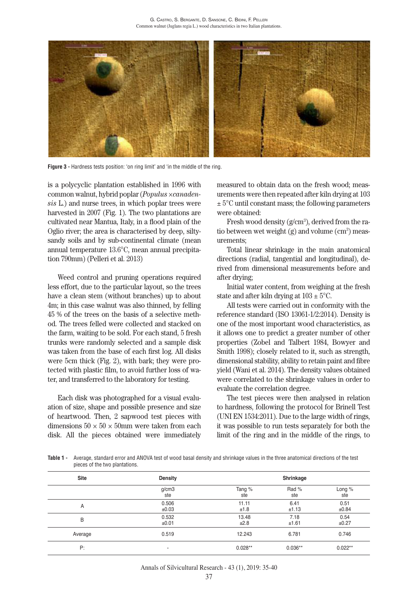

**Figure 3 -** Hardness tests position: 'on ring limit' and 'in the middle of the ring.

is a polycyclic plantation established in 1996 with common walnut, hybrid poplar (*Populus ×canadensis* L.) and nurse trees, in which poplar trees were harvested in 2007 (Fig. 1). The two plantations are cultivated near Mantua, Italy, in a flood plain of the Oglio river; the area is characterised by deep, siltysandy soils and by sub-continental climate (mean annual temperature 13.6°C, mean annual precipitation 790mm) (Pelleri et al. 2013)

Weed control and pruning operations required less effort, due to the particular layout, so the trees have a clean stem (without branches) up to about 4m; in this case walnut was also thinned, by felling 45 % of the trees on the basis of a selective method. The trees felled were collected and stacked on the farm, waiting to be sold. For each stand, 5 fresh trunks were randomly selected and a sample disk was taken from the base of each first log. All disks were 5cm thick (Fig. 2), with bark; they were protected with plastic film, to avoid further loss of water, and transferred to the laboratory for testing.

Each disk was photographed for a visual evaluation of size, shape and possible presence and size of heartwood. Then, 2 sapwood test pieces with dimensions  $50 \times 50 \times 50$  mm were taken from each disk. All the pieces obtained were immediately

measured to obtain data on the fresh wood; measurements were then repeated after kiln drying at 103  $\pm$  5°C until constant mass; the following parameters were obtained:

Fresh wood density  $(g/cm<sup>3</sup>)$ , derived from the ratio between wet weight  $(g)$  and volume  $(cm<sup>3</sup>)$  measurements;

Total linear shrinkage in the main anatomical directions (radial, tangential and longitudinal), derived from dimensional measurements before and after drying;

Initial water content, from weighing at the fresh state and after kiln drying at  $103 \pm 5^{\circ}$ C.

All tests were carried out in conformity with the reference standard (ISO 13061-1/2:2014). Density is one of the most important wood characteristics, as it allows one to predict a greater number of other properties (Zobel and Talbert 1984, Bowyer and Smith 1998); closely related to it, such as strength, dimensional stability, ability to retain paint and fibre yield (Wani et al. 2014). The density values obtained were correlated to the shrinkage values in order to evaluate the correlation degree.

The test pieces were then analysed in relation to hardness, following the protocol for Brinell Test (UNI EN 1534:2011). Due to the large width of rings, it was possible to run tests separately for both the limit of the ring and in the middle of the rings, to

**Table 1 -** Average, standard error and ANOVA test of wood basal density and shrinkage values in the three anatomical directions of the test pieces of the two plantations.

| <b>Site</b> | <b>Density</b><br>g/cm3<br>ste | Shrinkage     |               |               |
|-------------|--------------------------------|---------------|---------------|---------------|
|             |                                | Tang %<br>ste | Rad %<br>ste  | Long %<br>ste |
| A           | 0.506<br>±0.03                 | 11.11<br>±1.8 | 6.41<br>±1.13 | 0.51<br>±0.84 |
| B           | 0.532<br>±0.01                 | 13.48<br>±2.8 | 7.18<br>±1.61 | 0.54<br>±0.27 |
| Average     | 0.519                          | 12.243        | 6.781         | 0.746         |
| P:          |                                | $0.028**$     | $0.036**$     | $0.022**$     |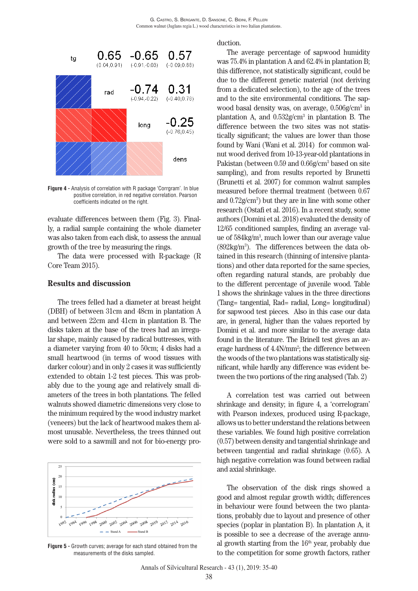

**Figure 4 -** Analysis of correlation with R package 'Corrgram'. In blue positive correlation, in red negative correlation. Pearson coefficients indicated on the right.

evaluate differences between them (Fig. 3). Finally, a radial sample containing the whole diameter was also taken from each disk, to assess the annual growth of the tree by measuring the rings.

The data were processed with R-package (R Core Team 2015).

#### **Results and discussion**

The trees felled had a diameter at breast height (DBH) of between 31cm and 48cm in plantation A and between 22cm and 41cm in plantation B. The disks taken at the base of the trees had an irregular shape, mainly caused by radical buttresses, with a diameter varying from 40 to 50cm; 4 disks had a small heartwood (in terms of wood tissues with darker colour) and in only 2 cases it was sufficiently extended to obtain 1-2 test pieces. This was probably due to the young age and relatively small diameters of the trees in both plantations. The felled walnuts showed diametric dimensions very close to the minimum required by the wood industry market (veneers) but the lack of heartwood makes them almost unusable. Nevertheless, the trees thinned out were sold to a sawmill and not for bio-energy pro-



**Figure 5 -** Growth curves; average for each stand obtained from the measurements of the disks sampled.

duction.

The average percentage of sapwood humidity was 75.4% in plantation A and 62.4% in plantation B; this difference, not statistically significant, could be due to the different genetic material (not deriving from a dedicated selection), to the age of the trees and to the site environmental conditions. The sapwood basal density was, on average, 0.506g/cm3 in plantation A, and  $0.532$ g/cm<sup>3</sup> in plantation B. The difference between the two sites was not statistically significant; the values are lower than those found by Wani (Wani et al. 2014) for common walnut wood derived from 10-13-year-old plantations in Pakistan (between 0.59 and 0.66g/cm<sup>3</sup> based on site sampling), and from results reported by Brunetti (Brunetti et al. 2007) for common walnut samples measured before thermal treatment (between 0.67 and 0.72g/cm3 ) but they are in line with some other research (Ostafi et al. 2016). In a recent study, some authors (Domini et al. 2018) evaluated the density of 12/65 conditioned samples, finding an average value of 584kg/m3 , much lower than our average value  $(892\text{kg/m}^3)$ . The differences between the data obtained in this research (thinning of intensive plantations) and other data reported for the same species, often regarding natural stands, are probably due to the different percentage of juvenile wood. Table 1 shows the shrinkage values in the three directions (Tang= tangential, Rad= radial, Long= longitudinal) for sapwood test pieces. Also in this case our data are, in general, higher than the values reported by Domini et al. and more similar to the average data found in the literature. The Brinell test gives an average hardness of 4.4N/mm<sup>2</sup>; the difference between the woods of the two plantations was statistically significant, while hardly any difference was evident between the two portions of the ring analysed (Tab. 2)

A correlation test was carried out between shrinkage and density; in figure 4, a 'correlogram' with Pearson indexes, produced using R-package, allows us to better understand the relations between these variables. We found high positive correlation (0.57) between density and tangential shrinkage and between tangential and radial shrinkage (0.65). A high negative correlation was found between radial and axial shrinkage.

The observation of the disk rings showed a good and almost regular growth width; differences in behaviour were found between the two plantations, probably due to layout and presence of other species (poplar in plantation B). In plantation A, it is possible to see a decrease of the average annual growth starting from the  $16<sup>th</sup>$  year, probably due to the competition for some growth factors, rather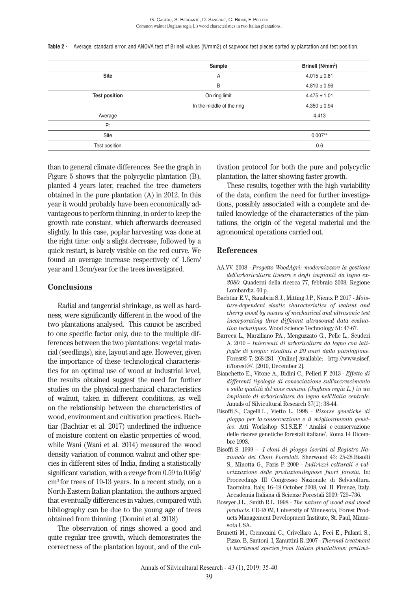**Table 2 -** Average, standard error, and ANOVA test of Brinell values (N/mm2) of sapwood test pieces sorted by plantation and test position.

|                      | Sample                    | Brinell (N/mm <sup>2</sup> ) |
|----------------------|---------------------------|------------------------------|
| <b>Site</b>          | A                         | $4.015 \pm 0.81$             |
|                      | B                         | $4.810 \pm 0.96$             |
| <b>Test position</b> | On ring limit             | $4.475 \pm 1.01$             |
|                      | In the middle of the ring | $4.350 \pm 0.94$             |
| Average              |                           | 4.413                        |
| P:                   |                           |                              |
| Site                 |                           | $0.007**$                    |
| Test position        |                           | 0.6                          |

than to general climate differences. See the graph in Figure 5 shows that the polycyclic plantation (B), planted 4 years later, reached the tree diameters obtained in the pure plantation (A) in 2012. In this year it would probably have been economically advantageous to perform thinning, in order to keep the growth rate constant, which afterwards decreased slightly. In this case, poplar harvesting was done at the right time: only a slight decrease, followed by a quick restart, is barely visible on the red curve. We found an average increase respectively of 1.6cm/ year and 1.3cm/year for the trees investigated.

## **Conclusions**

Radial and tangential shrinkage, as well as hardness, were significantly different in the wood of the two plantations analysed. This cannot be ascribed to one specific factor only, due to the multiple differences between the two plantations: vegetal material (seedlings), site, layout and age. However, given the importance of these technological characteristics for an optimal use of wood at industrial level, the results obtained suggest the need for further studies on the physical-mechanical characteristics of walnut, taken in different conditions, as well on the relationship between the characteristics of wood, environment and cultivation practices. Bachtiar (Bachtiar et al. 2017) underlined the influence of moisture content on elastic properties of wood, while Wani (Wani et al. 2014) measured the wood density variation of common walnut and other species in different sites of India, finding a statistically significant variation, with a *range* from 0.59 to 0.66g/ cm3 for trees of 10-13 years. In a recent study, on a North-Eastern Italian plantation, the authors argued that eventually differences in values, compared with bibliography can be due to the young age of trees obtained from thinning. (Domini et al. 2018)

The observation of rings showed a good and quite regular tree growth, which demonstrates the correctness of the plantation layout, and of the cultivation protocol for both the pure and polycyclic plantation, the latter showing faster growth.

These results, together with the high variability of the data, confirm the need for further investigations, possibly associated with a complete and detailed knowledge of the characteristics of the plantations, the origin of the vegetal material and the agronomical operations carried out.

#### **References**

- AA.VV. 2008 *Progetto WoodAgri: modernizzare la gestione dell'arboricoltura lineare e degli impianti da legno ex-2080*. Quaderni della ricerca 77, febbraio 2008. Regione Lombardia. 60 p.
- Bachtiar E.V., Sanabria S.J., Mitting J.P., Niemx P. 2017 *Moisture-dependent elastic characteristics of walnut and cherry wood by means of mechanical and ultrasonic test incorporating three different ultrasound data evaluation techniques*. Wood Science Technology 51: 47-67.
- Barreca L., Marziliano PA., Menguzzato G., Pelle L., Scuderi A. 2010 – *Interventi di arboricoltura da legno con latifoglie di pregio: risultati a 20 anni dalla piantagione.* Forest@ 7: 268-281 [Online] Available: http://www.sisef. it/forest@/. [2010, December 2].
- Bianchetto E., Vitone A., Bidini C., Pelleri F. 2013 *Effetto di differenti tipologie di consociazione sull'accrescimento e sulla qualità del noce comune (Juglans regia L.) in un impianto di arboricoltura da legno nell'Italia centrale*. Annals of Silvicultural Research 37(1): 38-44.
- Bisoffi S., Cagelli L., Vietto L. 1998 *Risorse genetiche di pioppo per la conservazione e il miglioramento genetico*. Atti Workshop S.I.S.E.F. ' Analisi e conservazione delle risorse genetiche forestali italiane', Roma 14 Dicembre 1998.
- Bisoffi S. 1999 *I cloni di pioppo iscritti al Registro Nazionale dei Cloni Forestali.* Sherwood 43: 25-28.Bisoffi S., Minotta G., Paris P. 2009 - *Indirizzi colturali e valorizzazione delle produzionilegnose fuori foresta.* In: Proceedings III Congresso Nazionale di Selvicoltura. Taormina, Italy, 16–19 October 2008, vol. II. Firenze, Italy. Accademia Italiana di Scienze Forestali 2009: 729–736.
- Bowyer J.L., Smith R.L. 1998 *The nature of wood and wood products*. CD-ROM, University of Minnesota, Forest Products Management Development Institute, St. Paul, Minnesota USA.
- Brunetti M., Cremonini C., Crivellaro A., Feci E., Palanti S., Pizzo. B, Santoni. I, Zanuttini R. 2007 - *Thermal treatment of hardwood species from Italian plantations: prelimi-*